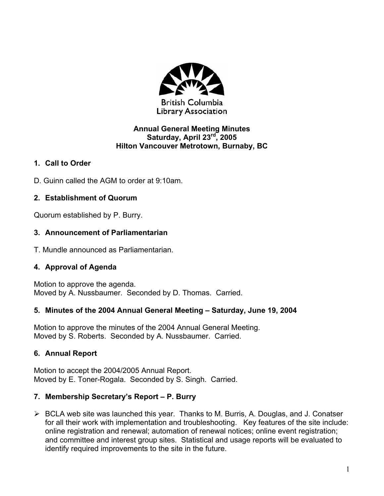

#### **Annual General Meeting Minutes Saturday, April 23rd, 2005 Hilton Vancouver Metrotown, Burnaby, BC**

### **1. Call to Order**

D. Guinn called the AGM to order at 9:10am.

## **2. Establishment of Quorum**

Quorum established by P. Burry.

### **3. Announcement of Parliamentarian**

T. Mundle announced as Parliamentarian.

## **4. Approval of Agenda**

Motion to approve the agenda. Moved by A. Nussbaumer. Seconded by D. Thomas. Carried.

## **5. Minutes of the 2004 Annual General Meeting – Saturday, June 19, 2004**

Motion to approve the minutes of the 2004 Annual General Meeting. Moved by S. Roberts. Seconded by A. Nussbaumer. Carried.

## **6. Annual Report**

Motion to accept the 2004/2005 Annual Report. Moved by E. Toner-Rogala. Seconded by S. Singh. Carried.

## **7. Membership Secretary's Report – P. Burry**

¾ BCLA web site was launched this year. Thanks to M. Burris, A. Douglas, and J. Conatser for all their work with implementation and troubleshooting. Key features of the site include: online registration and renewal; automation of renewal notices; online event registration; and committee and interest group sites. Statistical and usage reports will be evaluated to identify required improvements to the site in the future.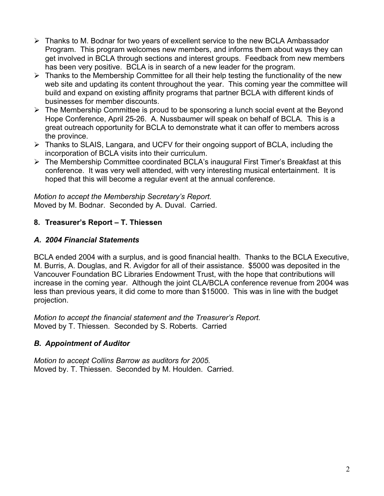- ¾ Thanks to M. Bodnar for two years of excellent service to the new BCLA Ambassador Program. This program welcomes new members, and informs them about ways they can get involved in BCLA through sections and interest groups. Feedback from new members has been very positive. BCLA is in search of a new leader for the program.
- $\triangleright$  Thanks to the Membership Committee for all their help testing the functionality of the new web site and updating its content throughout the year. This coming year the committee will build and expand on existing affinity programs that partner BCLA with different kinds of businesses for member discounts.
- $\triangleright$  The Membership Committee is proud to be sponsoring a lunch social event at the Beyond Hope Conference, April 25-26. A. Nussbaumer will speak on behalf of BCLA. This is a great outreach opportunity for BCLA to demonstrate what it can offer to members across the province.
- ¾ Thanks to SLAIS, Langara, and UCFV for their ongoing support of BCLA, including the incorporation of BCLA visits into their curriculum.
- ¾ The Membership Committee coordinated BCLA's inaugural First Timer's Breakfast at this conference. It was very well attended, with very interesting musical entertainment. It is hoped that this will become a regular event at the annual conference.

*Motion to accept the Membership Secretary's Report.*  Moved by M. Bodnar. Seconded by A. Duval. Carried.

## **8. Treasurer's Report – T. Thiessen**

#### *A. 2004 Financial Statements*

BCLA ended 2004 with a surplus, and is good financial health. Thanks to the BCLA Executive, M. Burris, A. Douglas, and R. Avigdor for all of their assistance. \$5000 was deposited in the Vancouver Foundation BC Libraries Endowment Trust, with the hope that contributions will increase in the coming year. Although the joint CLA/BCLA conference revenue from 2004 was less than previous years, it did come to more than \$15000. This was in line with the budget projection.

*Motion to accept the financial statement and the Treasurer's Report.*  Moved by T. Thiessen. Seconded by S. Roberts. Carried

## *B. Appointment of Auditor*

*Motion to accept Collins Barrow as auditors for 2005.*  Moved by. T. Thiessen. Seconded by M. Houlden. Carried.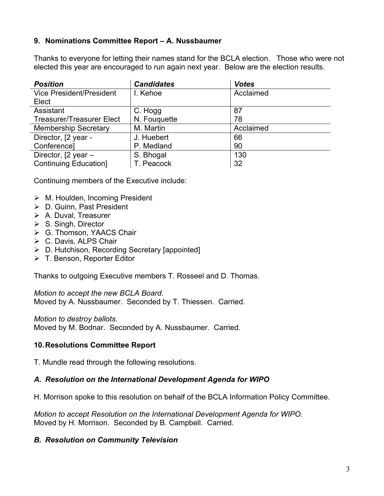#### **9. Nominations Committee Report – A. Nussbaumer**

Thanks to everyone for letting their names stand for the BCLA election. Those who were not elected this year are encouraged to run again next year. Below are the election results.

| <b>Position</b>                  | <b>Candidates</b> | <b>Votes</b> |
|----------------------------------|-------------------|--------------|
| <b>Vice President/President</b>  | I. Kehoe          | Acclaimed    |
| Elect                            |                   |              |
| Assistant                        | C. Hogg           | 87           |
| <b>Treasurer/Treasurer Elect</b> | N. Fouguette      | 78           |
| <b>Membership Secretary</b>      | M. Martin         | Acclaimed    |
| Director, [2 year -              | J. Huebert        | 66           |
| Conference]                      | P. Medland        | 90           |
| Director, [2 year -              | S. Bhogal         | 130          |
| <b>Continuing Education</b> ]    | T. Peacock        | 32           |

Continuing members of the Executive include:

- $\triangleright$  M. Houlden, Incoming President
- ¾ D. Guinn, Past President
- $\triangleright$  A. Duval, Treasurer
- $\triangleright$  S. Singh, Director
- **≻** G. Thomson, YAACS Chair
- $\triangleright$  C. Davis, ALPS Chair
- ¾ D. Hutchison, Recording Secretary [appointed]
- ¾ T. Benson, Reporter Editor

Thanks to outgoing Executive members T. Rosseel and D. Thomas.

*Motion to accept the new BCLA Board.*  Moved by A. Nussbaumer. Seconded by T. Thiessen. Carried.

*Motion to destroy ballots.* 

Moved by M. Bodnar. Seconded by A. Nussbaumer. Carried.

#### **10. Resolutions Committee Report**

T. Mundle read through the following resolutions.

#### *A. Resolution on the International Development Agenda for WIPO*

H. Morrison spoke to this resolution on behalf of the BCLA Information Policy Committee.

*Motion to accept Resolution on the International Development Agenda for WIPO.*  Moved by H. Morrison. Seconded by B. Campbell. Carried.

#### *B. Resolution on Community Television*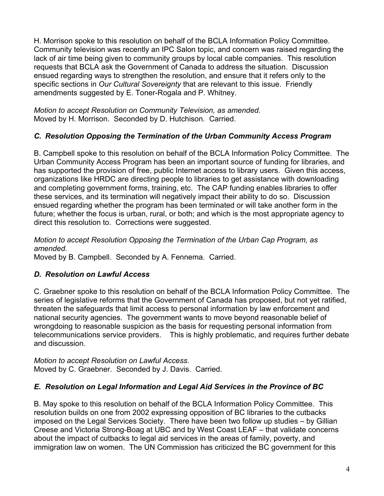H. Morrison spoke to this resolution on behalf of the BCLA Information Policy Committee. Community television was recently an IPC Salon topic, and concern was raised regarding the lack of air time being given to community groups by local cable companies. This resolution requests that BCLA ask the Government of Canada to address the situation. Discussion ensued regarding ways to strengthen the resolution, and ensure that it refers only to the specific sections in *Our Cultural Sovereignty* that are relevant to this issue. Friendly amendments suggested by E. Toner-Rogala and P. Whitney.

*Motion to accept Resolution on Community Television, as amended.*  Moved by H. Morrison. Seconded by D. Hutchison. Carried.

## *C. Resolution Opposing the Termination of the Urban Community Access Program*

B. Campbell spoke to this resolution on behalf of the BCLA Information Policy Committee. The Urban Community Access Program has been an important source of funding for libraries, and has supported the provision of free, public Internet access to library users. Given this access, organizations like HRDC are directing people to libraries to get assistance with downloading and completing government forms, training, etc. The CAP funding enables libraries to offer these services, and its termination will negatively impact their ability to do so. Discussion ensued regarding whether the program has been terminated or will take another form in the future; whether the focus is urban, rural, or both; and which is the most appropriate agency to direct this resolution to. Corrections were suggested.

# *Motion to accept Resolution Opposing the Termination of the Urban Cap Program, as amended.*

Moved by B. Campbell. Seconded by A. Fennema. Carried.

## *D. Resolution on Lawful Access*

C. Graebner spoke to this resolution on behalf of the BCLA Information Policy Committee. The series of legislative reforms that the Government of Canada has proposed, but not yet ratified, threaten the safeguards that limit access to personal information by law enforcement and national security agencies. The government wants to move beyond reasonable belief of wrongdoing to reasonable suspicion as the basis for requesting personal information from telecommunications service providers. This is highly problematic, and requires further debate and discussion.

*Motion to accept Resolution on Lawful Access.*  Moved by C. Graebner. Seconded by J. Davis. Carried.

## *E. Resolution on Legal Information and Legal Aid Services in the Province of BC*

B. May spoke to this resolution on behalf of the BCLA Information Policy Committee. This resolution builds on one from 2002 expressing opposition of BC libraries to the cutbacks imposed on the Legal Services Society. There have been two follow up studies – by Gillian Creese and Victoria Strong-Boag at UBC and by West Coast LEAF – that validate concerns about the impact of cutbacks to legal aid services in the areas of family, poverty, and immigration law on women. The UN Commission has criticized the BC government for this